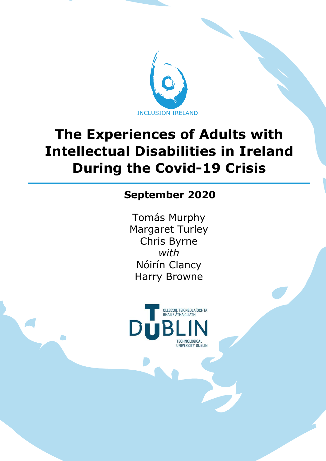

# **The Experiences of Adults with Intellectual Disabilities in Ireland During the Covid-19 Crisis**

# **September 2020**

Tomás Murphy Margaret Turley Chris Byrne *with* Nóirín Clancy Harry Browne



 $\blacksquare$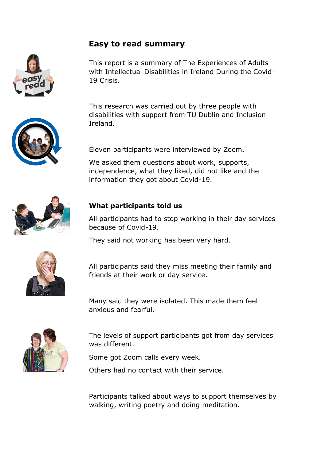#### **Easy to read summary**

This report is a summary of The Experiences of Adults with Intellectual Disabilities in Ireland During the Covid-19 Crisis.

This research was carried out by three people with disabilities with support from TU Dublin and Inclusion Ireland.

Eleven participants were interviewed by Zoom.

We asked them questions about work, supports, independence, what they liked, did not like and the information they got about Covid-19.

#### **What participants told us**

All participants had to stop working in their day services because of Covid-19.

They said not working has been very hard.



All participants said they miss meeting their family and friends at their work or day service.

Many said they were isolated. This made them feel anxious and fearful.



The levels of support participants got from day services was different.

Some got Zoom calls every week.

Others had no contact with their service.

Participants talked about ways to support themselves by walking, writing poetry and doing meditation.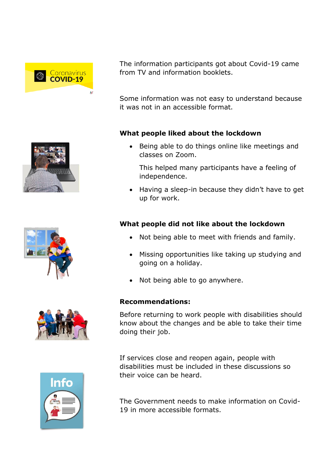



Some information was not easy to understand because it was not in an accessible format.

#### **What people liked about the lockdown**

Being able to do things online like meetings and classes on Zoom.

This helped many participants have a feeling of independence.

• Having a sleep-in because they didn't have to get up for work.

#### **What people did not like about the lockdown**

- Not being able to meet with friends and family.
- Missing opportunities like taking up studying and going on a holiday.
- Not being able to go anywhere.

#### **Recommendations:**

Before returning to work people with disabilities should know about the changes and be able to take their time doing their job.

If services close and reopen again, people with disabilities must be included in these discussions so their voice can be heard.

The Government needs to make information on Covid-19 in more accessible formats.







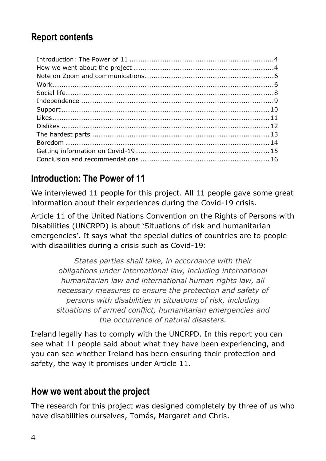# **Report contents**

# **Introduction: The Power of 11**

We interviewed 11 people for this project. All 11 people gave some great information about their experiences during the Covid-19 crisis.

Article 11 of the United Nations Convention on the Rights of Persons with Disabilities (UNCRPD) is about 'Situations of risk and humanitarian emergencies'. It says what the special duties of countries are to people with disabilities during a crisis such as Covid-19:

*States parties shall take, in accordance with their obligations under international law, including international humanitarian law and international human rights law, all necessary measures to ensure the protection and safety of persons with disabilities in situations of risk, including situations of armed conflict, humanitarian emergencies and the occurrence of natural disasters.* 

Ireland legally has to comply with the UNCRPD. In this report you can see what 11 people said about what they have been experiencing, and you can see whether Ireland has been ensuring their protection and safety, the way it promises under Article 11.

### **How we went about the project**

The research for this project was designed completely by three of us who have disabilities ourselves, Tomás, Margaret and Chris.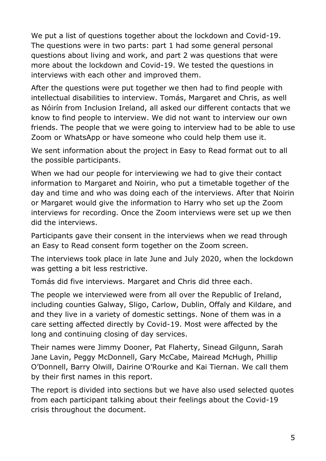We put a list of questions together about the lockdown and Covid-19. The questions were in two parts: part 1 had some general personal questions about living and work, and part 2 was questions that were more about the lockdown and Covid-19. We tested the questions in interviews with each other and improved them.

After the questions were put together we then had to find people with intellectual disabilities to interview. Tomás, Margaret and Chris, as well as Nóirín from Inclusion Ireland, all asked our different contacts that we know to find people to interview. We did not want to interview our own friends. The people that we were going to interview had to be able to use Zoom or WhatsApp or have someone who could help them use it.

We sent information about the project in Easy to Read format out to all the possible participants.

When we had our people for interviewing we had to give their contact information to Margaret and Noirin, who put a timetable together of the day and time and who was doing each of the interviews. After that Noirin or Margaret would give the information to Harry who set up the Zoom interviews for recording. Once the Zoom interviews were set up we then did the interviews.

Participants gave their consent in the interviews when we read through an Easy to Read consent form together on the Zoom screen.

The interviews took place in late June and July 2020, when the lockdown was getting a bit less restrictive.

Tomás did five interviews. Margaret and Chris did three each.

The people we interviewed were from all over the Republic of Ireland, including counties Galway, Sligo, Carlow, Dublin, Offaly and Kildare, and and they live in a variety of domestic settings. None of them was in a care setting affected directly by Covid-19. Most were affected by the long and continuing closing of day services.

Their names were Jimmy Dooner, Pat Flaherty, Sinead Gilgunn, Sarah Jane Lavin, Peggy McDonnell, Gary McCabe, Mairead McHugh, Phillip O'Donnell, Barry Olwill, Dairine O'Rourke and Kai Tiernan. We call them by their first names in this report.

The report is divided into sections but we have also used selected quotes from each participant talking about their feelings about the Covid-19 crisis throughout the document.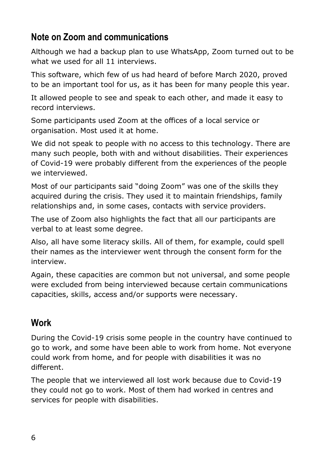# **Note on Zoom and communications**

Although we had a backup plan to use WhatsApp, Zoom turned out to be what we used for all 11 interviews.

This software, which few of us had heard of before March 2020, proved to be an important tool for us, as it has been for many people this year.

It allowed people to see and speak to each other, and made it easy to record interviews.

Some participants used Zoom at the offices of a local service or organisation. Most used it at home.

We did not speak to people with no access to this technology. There are many such people, both with and without disabilities. Their experiences of Covid-19 were probably different from the experiences of the people we interviewed.

Most of our participants said "doing Zoom" was one of the skills they acquired during the crisis. They used it to maintain friendships, family relationships and, in some cases, contacts with service providers.

The use of Zoom also highlights the fact that all our participants are verbal to at least some degree.

Also, all have some literacy skills. All of them, for example, could spell their names as the interviewer went through the consent form for the interview.

Again, these capacities are common but not universal, and some people were excluded from being interviewed because certain communications capacities, skills, access and/or supports were necessary.

# **Work**

During the Covid-19 crisis some people in the country have continued to go to work, and some have been able to work from home. Not everyone could work from home, and for people with disabilities it was no different.

The people that we interviewed all lost work because due to Covid-19 they could not go to work. Most of them had worked in centres and services for people with disabilities.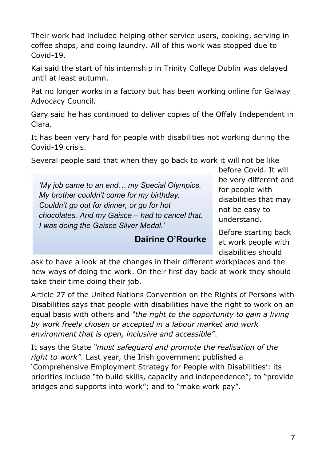Their work had included helping other service users, cooking, serving in coffee shops, and doing laundry. All of this work was stopped due to Covid-19.

Kai said the start of his internship in Trinity College Dublin was delayed until at least autumn.

Pat no longer works in a factory but has been working online for Galway Advocacy Council.

Gary said he has continued to deliver copies of the Offaly Independent in Clara.

It has been very hard for people with disabilities not working during the Covid-19 crisis.

Several people said that when they go back to work it will not be like

*'My job came to an end… my Special Olympics. My brother couldn't come for my birthday. Couldn't go out for dinner, or go for hot chocolates. And my Gaisce – had to cancel that. I was doing the Gaisce Silver Medal.'* 

#### **Dairine O'Rourke**

before Covid. It will be very different and for people with disabilities that may not be easy to understand.

Before starting back at work people with disabilities should

ask to have a look at the changes in their different workplaces and the new ways of doing the work. On their first day back at work they should take their time doing their job.

Article 27 of the United Nations Convention on the Rights of Persons with Disabilities says that people with disabilities have the right to work on an equal basis with others and *"the right to the opportunity to gain a living by work freely chosen or accepted in a labour market and work environment that is open, inclusive and accessible"*.

It says the State *"must safeguard and promote the realisation of the right to work"*. Last year, the Irish government published a 'Comprehensive Employment Strategy for People with Disabilities': its priorities include "to build skills, capacity and independence"; to "provide bridges and supports into work"; and to "make work pay".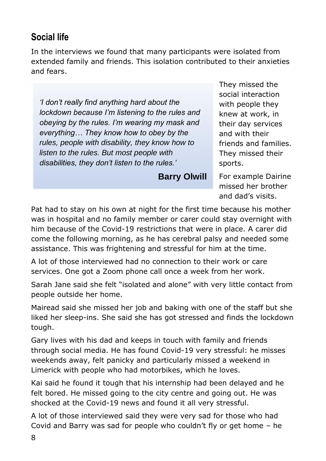# **Social life**

In the interviews we found that many participants were isolated from extended family and friends. This isolation contributed to their anxieties and fears.

*'I don't really find anything hard about the lockdown because I'm listening to the rules and obeying by the rules. I'm wearing my mask and everything… They know how to obey by the rules, people with disability, they know how to listen to the rules. But most people with disabilities, they don't listen to the rules.'*

**Barry Olwill**

They missed the social interaction with people they knew at work, in their day services and with their friends and families. They missed their sports.

For example Dairine missed her brother and dad's visits.

Pat had to stay on his own at night for the first time because his mother was in hospital and no family member or carer could stay overnight with him because of the Covid-19 restrictions that were in place. A carer did come the following morning, as he has cerebral palsy and needed some assistance. This was frightening and stressful for him at the time.

A lot of those interviewed had no connection to their work or care services. One got a Zoom phone call once a week from her work.

Sarah Jane said she felt "isolated and alone" with very little contact from people outside her home.

Mairead said she missed her job and baking with one of the staff but she liked her sleep-ins. She said she has got stressed and finds the lockdown tough.

Gary lives with his dad and keeps in touch with family and friends through social media. He has found Covid-19 very stressful: he misses weekends away, felt panicky and particularly missed a weekend in Limerick with people who had motorbikes, which he loves.

Kai said he found it tough that his internship had been delayed and he felt bored. He missed going to the city centre and going out. He was shocked at the Covid-19 news and found it all very stressful.

A lot of those interviewed said they were very sad for those who had Covid and Barry was sad for people who couldn't fly or get home – he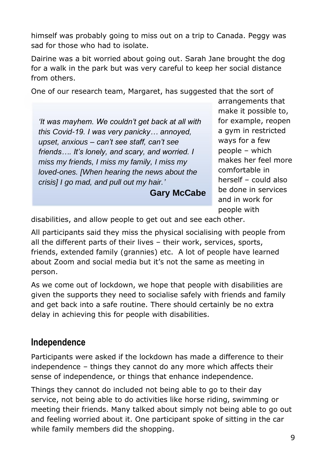himself was probably going to miss out on a trip to Canada. Peggy was sad for those who had to isolate.

Dairine was a bit worried about going out. Sarah Jane brought the dog for a walk in the park but was very careful to keep her social distance from others.

One of our research team, Margaret, has suggested that the sort of

*'It was mayhem. We couldn't get back at all with this Covid-19. I was very panicky… annoyed, upset, anxious – can't see staff, can't see friends…. It's lonely, and scary, and worried. I miss my friends, I miss my family, I miss my loved-ones. [When hearing the news about the crisis] I go mad, and pull out my hair.'*

**Gary McCabe**

arrangements that make it possible to, for example, reopen a gym in restricted ways for a few people – which makes her feel more comfortable in herself – could also be done in services and in work for people with

disabilities, and allow people to get out and see each other.

All participants said they miss the physical socialising with people from all the different parts of their lives – their work, services, sports, friends, extended family (grannies) etc. A lot of people have learned about Zoom and social media but it's not the same as meeting in person.

As we come out of lockdown, we hope that people with disabilities are given the supports they need to socialise safely with friends and family and get back into a safe routine. There should certainly be no extra delay in achieving this for people with disabilities.

### **Independence**

Participants were asked if the lockdown has made a difference to their independence – things they cannot do any more which affects their sense of independence, or things that enhance independence.

Things they cannot do included not being able to go to their day service, not being able to do activities like horse riding, swimming or meeting their friends. Many talked about simply not being able to go out and feeling worried about it. One participant spoke of sitting in the car while family members did the shopping.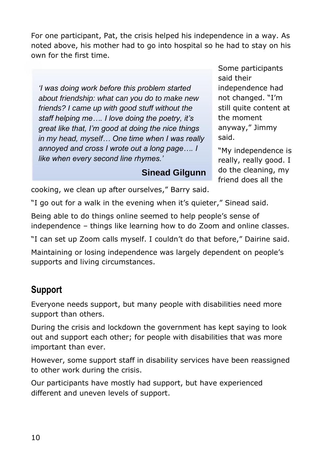For one participant, Pat, the crisis helped his independence in a way. As noted above, his mother had to go into hospital so he had to stay on his own for the first time.

*'I was doing work before this problem started about friendship: what can you do to make new friends? I came up with good stuff without the staff helping me…. I love doing the poetry, it's great like that, I'm good at doing the nice things in my head, myself… One time when I was really annoyed and cross I wrote out a long page…. I like when every second line rhymes.'* 

Some participants said their independence had not changed. "I'm still quite content at the moment anyway," Jimmy said.

"My independence is really, really good. I do the cleaning, my friend does all the

cooking, we clean up after ourselves," Barry said.

"I go out for a walk in the evening when it's quieter," Sinead said.

Being able to do things online seemed to help people's sense of independence – things like learning how to do Zoom and online classes.

**Sinead Gilgunn**

"I can set up Zoom calls myself. I couldn't do that before," Dairine said.

Maintaining or losing independence was largely dependent on people's supports and living circumstances.

# **Support**

Everyone needs support, but many people with disabilities need more support than others.

During the crisis and lockdown the government has kept saying to look out and support each other; for people with disabilities that was more important than ever.

However, some support staff in disability services have been reassigned to other work during the crisis.

Our participants have mostly had support, but have experienced different and uneven levels of support.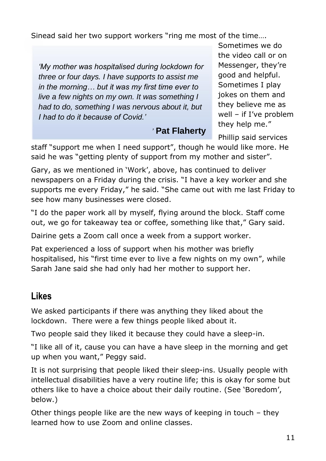Sinead said her two support workers "ring me most of the time….

*'My mother was hospitalised during lockdown for three or four days. I have supports to assist me in the morning… but it was my first time ever to live a few nights on my own. It was something I had to do, something I was nervous about it, but I had to do it because of Covid.'*

*'* **Pat Flaherty**

Sometimes we do the video call or on Messenger, they're good and helpful. Sometimes I play jokes on them and they believe me as well – if I've problem they help me."

Phillip said services

staff "support me when I need support", though he would like more. He said he was "getting plenty of support from my mother and sister".

Gary, as we mentioned in 'Work', above, has continued to deliver newspapers on a Friday during the crisis. "I have a key worker and she supports me every Friday," he said. "She came out with me last Friday to see how many businesses were closed.

"I do the paper work all by myself, flying around the block. Staff come out, we go for takeaway tea or coffee, something like that," Gary said.

Dairine gets a Zoom call once a week from a support worker.

Pat experienced a loss of support when his mother was briefly hospitalised, his "first time ever to live a few nights on my own", while Sarah Jane said she had only had her mother to support her.

## **Likes**

We asked participants if there was anything they liked about the lockdown. There were a few things people liked about it.

Two people said they liked it because they could have a sleep-in.

"I like all of it, cause you can have a have sleep in the morning and get up when you want," Peggy said.

It is not surprising that people liked their sleep-ins. Usually people with intellectual disabilities have a very routine life; this is okay for some but others like to have a choice about their daily routine. (See 'Boredom', below.)

Other things people like are the new ways of keeping in touch – they learned how to use Zoom and online classes.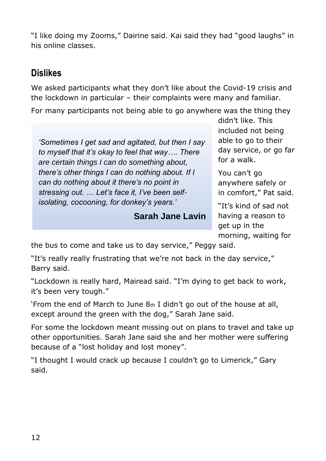"I like doing my Zooms," Dairine said. Kai said they had "good laughs" in his online classes.

# **Dislikes**

We asked participants what they don't like about the Covid-19 crisis and the lockdown in particular – their complaints were many and familiar.

For many participants not being able to go anywhere was the thing they

*'Sometimes I get sad and agitated, but then I say to myself that it's okay to feel that way…. There are certain things I can do something about, there's other things I can do nothing about. If I can do nothing about it there's no point in stressing out. … Let's face it, I've been selfisolating, cocooning, for donkey's years.'* 

### **Sarah Jane Lavin**

didn't like. This included not being able to go to their day service, or go far for a walk.

You can't go anywhere safely or in comfort," Pat said.

"It's kind of sad not having a reason to get up in the morning, waiting for

the bus to come and take us to day service," Peggy said.

"It's really really frustrating that we're not back in the day service," Barry said.

"Lockdown is really hard, Mairead said. "I'm dying to get back to work, it's been very tough."

'From the end of March to June 8th I didn't go out of the house at all, except around the green with the dog," Sarah Jane said.

For some the lockdown meant missing out on plans to travel and take up other opportunities. Sarah Jane said she and her mother were suffering because of a "lost holiday and lost money".

"I thought I would crack up because I couldn't go to Limerick," Gary said.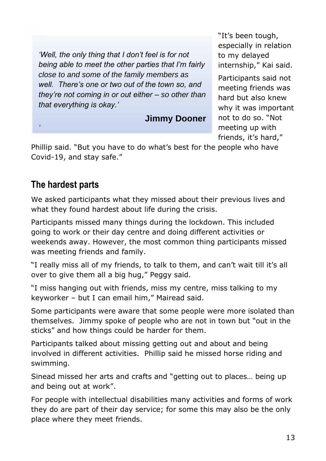*'Well, the only thing that I don't feel is for not being able to meet the other parties that I'm fairly close to and some of the family members as well. There's one or two out of the town so, and they're not coming in or out either – so other than that everything is okay.'*

**Jimmy Dooner**

"It's been tough, especially in relation to my delayed internship," Kai said.

Participants said not meeting friends was hard but also knew why it was important not to do so. "Not *'* meeting up with friends, it's hard,"

Phillip said. "But you have to do what's best for the people who have Covid-19, and stay safe."

# **The hardest parts**

We asked participants what they missed about their previous lives and what they found hardest about life during the crisis.

Participants missed many things during the lockdown. This included going to work or their day centre and doing different activities or weekends away. However, the most common thing participants missed was meeting friends and family.

"I really miss all of my friends, to talk to them, and can't wait till it's all over to give them all a big hug," Peggy said.

"I miss hanging out with friends, miss my centre, miss talking to my keyworker – but I can email him," Mairead said.

Some participants were aware that some people were more isolated than themselves. Jimmy spoke of people who are not in town but "out in the sticks" and how things could be harder for them.

Participants talked about missing getting out and about and being involved in different activities. Phillip said he missed horse riding and swimming.

Sinead missed her arts and crafts and "getting out to places… being up and being out at work".

For people with intellectual disabilities many activities and forms of work they do are part of their day service; for some this may also be the only place where they meet friends.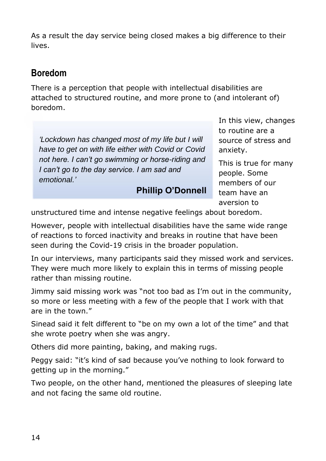As a result the day service being closed makes a big difference to their lives.

### **Boredom**

There is a perception that people with intellectual disabilities are attached to structured routine, and more prone to (and intolerant of) boredom.

*'Lockdown has changed most of my life but I will have to get on with life either with Covid or Covid not here. I can't go swimming or horse-riding and I can't go to the day service. I am sad and emotional.'*

#### **Phillip O'Donnell**

In this view, changes to routine are a source of stress and anxiety.

This is true for many people. Some members of our team have an aversion to

unstructured time and intense negative feelings about boredom.

However, people with intellectual disabilities have the same wide range of reactions to forced inactivity and breaks in routine that have been seen during the Covid-19 crisis in the broader population.

In our interviews, many participants said they missed work and services. They were much more likely to explain this in terms of missing people rather than missing routine.

Jimmy said missing work was "not too bad as I'm out in the community, so more or less meeting with a few of the people that I work with that are in the town."

Sinead said it felt different to "be on my own a lot of the time" and that she wrote poetry when she was angry.

Others did more painting, baking, and making rugs.

Peggy said: "it's kind of sad because you've nothing to look forward to getting up in the morning."

Two people, on the other hand, mentioned the pleasures of sleeping late and not facing the same old routine.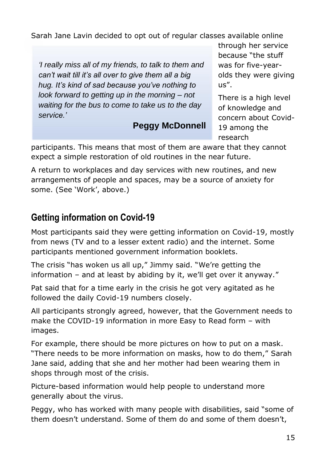Sarah Jane Lavin decided to opt out of regular classes available online

*'I really miss all of my friends, to talk to them and can't wait till it's all over to give them all a big hug. It's kind of sad because you've nothing to look forward to getting up in the morning – not waiting for the bus to come to take us to the day service.'*

### **Peggy McDonnell**

through her service because "the stuff was for five-yearolds they were giving  $US''$ .

There is a high level of knowledge and concern about Covid-19 among the research

participants. This means that most of them are aware that they cannot expect a simple restoration of old routines in the near future.

A return to workplaces and day services with new routines, and new arrangements of people and spaces, may be a source of anxiety for some. (See 'Work', above.)

# **Getting information on Covid-19**

Most participants said they were getting information on Covid-19, mostly from news (TV and to a lesser extent radio) and the internet. Some participants mentioned government information booklets.

The crisis "has woken us all up," Jimmy said. "We're getting the information – and at least by abiding by it, we'll get over it anyway."

Pat said that for a time early in the crisis he got very agitated as he followed the daily Covid-19 numbers closely.

All participants strongly agreed, however, that the Government needs to make the COVID-19 information in more Easy to Read form – with images.

For example, there should be more pictures on how to put on a mask. "There needs to be more information on masks, how to do them," Sarah Jane said, adding that she and her mother had been wearing them in shops through most of the crisis.

Picture-based information would help people to understand more generally about the virus.

Peggy, who has worked with many people with disabilities, said "some of them doesn't understand. Some of them do and some of them doesn't,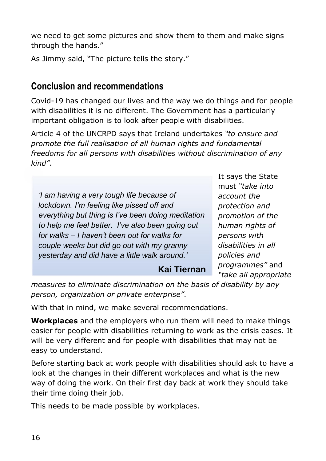we need to get some pictures and show them to them and make signs through the hands."

As Jimmy said, "The picture tells the story."

# **Conclusion and recommendations**

Covid-19 has changed our lives and the way we do things and for people with disabilities it is no different. The Government has a particularly important obligation is to look after people with disabilities.

Article 4 of the UNCRPD says that Ireland undertakes *"to ensure and promote the full realisation of all human rights and fundamental freedoms for all persons with disabilities without discrimination of any kind"*.

*'I am having a very tough life because of lockdown. I'm feeling like pissed off and everything but thing is I've been doing meditation to help me feel better. I've also been going out for walks – I haven't been out for walks for couple weeks but did go out with my granny yesterday and did have a little walk around.'*

It says the State must *"take into account the protection and promotion of the human rights of persons with disabilities in all policies and programmes"* and *"take all appropriate* 

*measures to eliminate discrimination on the basis of disability by any person, organization or private enterprise"*.

**Kai Tiernan**

With that in mind, we make several recommendations.

**Workplaces** and the employers who run them will need to make things easier for people with disabilities returning to work as the crisis eases. It will be very different and for people with disabilities that may not be easy to understand.

Before starting back at work people with disabilities should ask to have a look at the changes in their different workplaces and what is the new way of doing the work. On their first day back at work they should take their time doing their job.

This needs to be made possible by workplaces.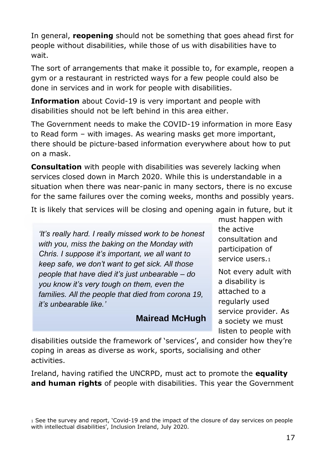In general, **reopening** should not be something that goes ahead first for people without disabilities, while those of us with disabilities have to wait.

The sort of arrangements that make it possible to, for example, reopen a gym or a restaurant in restricted ways for a few people could also be done in services and in work for people with disabilities.

**Information** about Covid-19 is very important and people with disabilities should not be left behind in this area either.

The Government needs to make the COVID-19 information in more Easy to Read form – with images. As wearing masks get more important, there should be picture-based information everywhere about how to put on a mask.

**Consultation** with people with disabilities was severely lacking when services closed down in March 2020. While this is understandable in a situation when there was near-panic in many sectors, there is no excuse for the same failures over the coming weeks, months and possibly years.

It is likely that services will be closing and opening again in future, but it

*'It's really hard. I really missed work to be honest with you, miss the baking on the Monday with Chris. I suppose it's important, we all want to keep safe, we don't want to get sick. All those people that have died it's just unbearable – do you know it's very tough on them, even the families. All the people that died from corona 19, it's unbearable like.'*

### **Mairead McHugh**

must happen with the active consultation and participation of service users.<sup>1</sup>

Not every adult with a disability is attached to a regularly used service provider. As a society we must listen to people with

disabilities outside the framework of 'services', and consider how they're coping in areas as diverse as work, sports, socialising and other activities.

Ireland, having ratified the UNCRPD, must act to promote the **equality and human rights** of people with disabilities. This year the Government

<sup>1</sup> See the survey and report, 'Covid-19 and the impact of the closure of day services on people with intellectual disabilities', Inclusion Ireland, July 2020.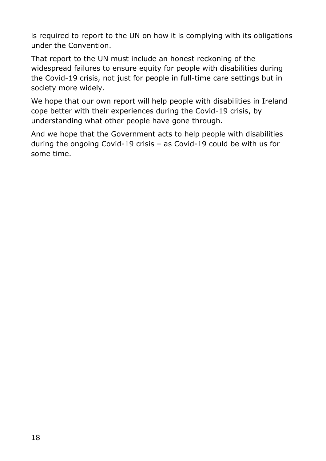is required to report to the UN on how it is complying with its obligations under the Convention.

That report to the UN must include an honest reckoning of the widespread failures to ensure equity for people with disabilities during the Covid-19 crisis, not just for people in full-time care settings but in society more widely.

We hope that our own report will help people with disabilities in Ireland cope better with their experiences during the Covid-19 crisis, by understanding what other people have gone through.

And we hope that the Government acts to help people with disabilities during the ongoing Covid-19 crisis – as Covid-19 could be with us for some time.